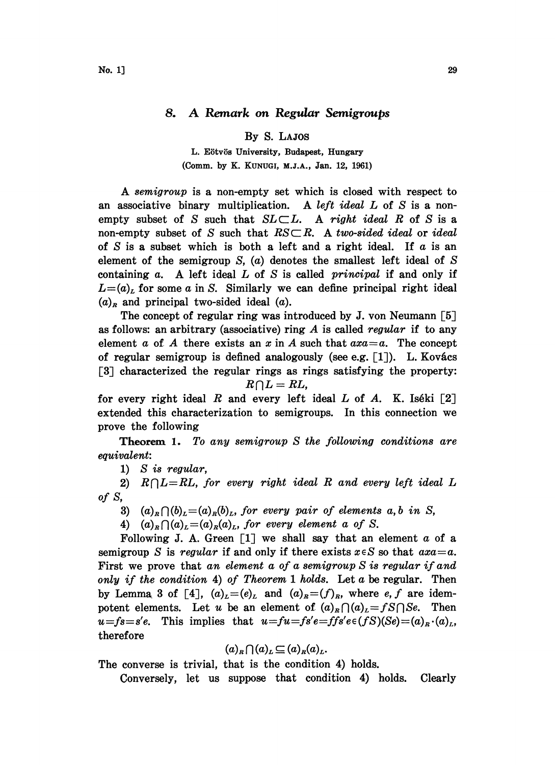## 8. A Remark on Regular Semigroups

By S. LAJOS

L. Eötvös University, Budapest, Hungary (Comm. by K. KUNUGI, M.J.A., Jan. 12, 1961)

A semigroup is <sup>a</sup> non-empty set which is closed with respect to an associative binary multiplication. A left ideal  $L$  of  $S$  is a nonempty subset of S such that  $SL \subset L$ . A right ideal R of S is a non-empty subset of S such that  $RS\subset R$ . A two-sided ideal or ideal of S is a subset which is both a left and a right ideal. If  $a$  is an element of the semigroup  $S$ ,  $(a)$  denotes the smallest left ideal of  $S$ containing  $a$ . A left ideal  $L$  of  $S$  is called *principal* if and only if  $L=(a)<sub>L</sub>$  for some a in S. Similarly we can define principal right ideal  $(a)<sub>R</sub>$  and principal two-sided ideal  $(a)$ .

The concept of regular ring was introduced by J. von Neumann [5] as follows: an arbitrary (associative) ring  $A$  is called regular if to any element a of A there exists an x in A such that  $axa=a$ . The concept of regular semigroup is defined analogously (see e.g.  $[1]$ ). L. Kovács [3] characterized the regular rings as rings satisfying the property:  $R \cap L = RL$ ,

for every right ideal R and every left ideal L of A. K. Iséki  $[2]$ extended this characterization to semigroups. In this connection we prove the following

Theorem 1. To any semigroup S the following conditions are equivalent:

1) S is regular,

2)  $R \cap L=R$ , for every right ideal R and every left ideal L of s,

- 3)  $(a)_R \cap (b)_L = (a)_R (b)_L$ , for every pair of elements a, b in S,
- 4)  $(a)_R \bigcap (a)_L = (a)_R(a)_L$ , for every element a of S.

Following J. A. Green  $\begin{bmatrix} 1 \end{bmatrix}$  we shall say that an element a of a semigroup S is regular if and only if there exists  $x \in S$  so that  $axa=a$ . First we prove that an element a of a semigroup  $S$  is regular if and only if the condition 4) of Theorem 1 holds. Let  $a$  be regular. Then by Lemma 3 of [4],  $(a)_L=(e)_L$  and  $(a)_R=(f)_R$ , where e, f are idempotent elements. Let u be an element of  $(a)_R \bigcap (a)_L = fS \bigcap S_e$ . Then  $u = fs = s'e$ . This implies that  $u = fu = fs'e = ffs'e \in (fS)(Se) = (a)_R \cdot (a)_L$ , therefore

$$
(a)_R \bigcap (a)_L \subseteq (a)_R (a)_L.
$$

The converse is trivial, that is the condition 4) holds.

Conversely, let us suppose that condition 4) holds. Clearly